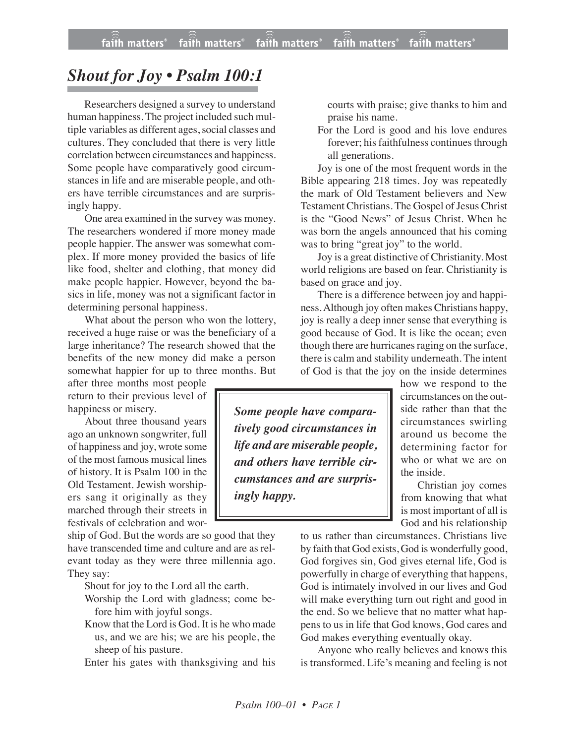## *Shout for Joy • Psalm 100:1*

Researchers designed a survey to understand human happiness. The project included such multiple variables as different ages, social classes and cultures. They concluded that there is very little correlation between circumstances and happiness. Some people have comparatively good circumstances in life and are miserable people, and others have terrible circumstances and are surprisingly happy.

One area examined in the survey was money. The researchers wondered if more money made people happier. The answer was somewhat complex. If more money provided the basics of life like food, shelter and clothing, that money did make people happier. However, beyond the basics in life, money was not a significant factor in determining personal happiness.

What about the person who won the lottery, received a huge raise or was the beneficiary of a large inheritance? The research showed that the benefits of the new money did make a person somewhat happier for up to three months. But

after three months most people return to their previous level of happiness or misery.

About three thousand years ago an unknown songwriter, full of happiness and joy, wrote some of the most famous musical lines of history. It is Psalm 100 in the Old Testament. Jewish worshipers sang it originally as they marched through their streets in festivals of celebration and wor-

ship of God. But the words are so good that they have transcended time and culture and are as relevant today as they were three millennia ago. They say:

Shout for joy to the Lord all the earth.

- Worship the Lord with gladness; come before him with joyful songs.
- Know that the Lord is God. It is he who made us, and we are his; we are his people, the sheep of his pasture.

Enter his gates with thanksgiving and his

courts with praise; give thanks to him and praise his name.

For the Lord is good and his love endures forever; his faithfulness continues through all generations.

Joy is one of the most frequent words in the Bible appearing 218 times. Joy was repeatedly the mark of Old Testament believers and New Testament Christians. The Gospel of Jesus Christ is the "Good News" of Jesus Christ. When he was born the angels announced that his coming was to bring "great joy" to the world.

Joy is a great distinctive of Christianity. Most world religions are based on fear. Christianity is based on grace and joy.

There is a difference between joy and happiness.Although joy often makes Christians happy, joy is really a deep inner sense that everything is good because of God. It is like the ocean; even though there are hurricanes raging on the surface, there is calm and stability underneath. The intent of God is that the joy on the inside determines

*Some people have comparatively good circumstances in life and are miserable people, and others have terrible circumstances and are surprisingly happy.*

how we respond to the circumstances on the outside rather than that the circumstances swirling around us become the determining factor for who or what we are on the inside.

Christian joy comes from knowing that what is most important of all is God and his relationship

to us rather than circumstances. Christians live by faith that God exists, God is wonderfully good, God forgives sin, God gives eternal life, God is powerfully in charge of everything that happens, God is intimately involved in our lives and God will make everything turn out right and good in the end. So we believe that no matter what happens to us in life that God knows, God cares and God makes everything eventually okay.

Anyone who really believes and knows this is transformed. Life's meaning and feeling is not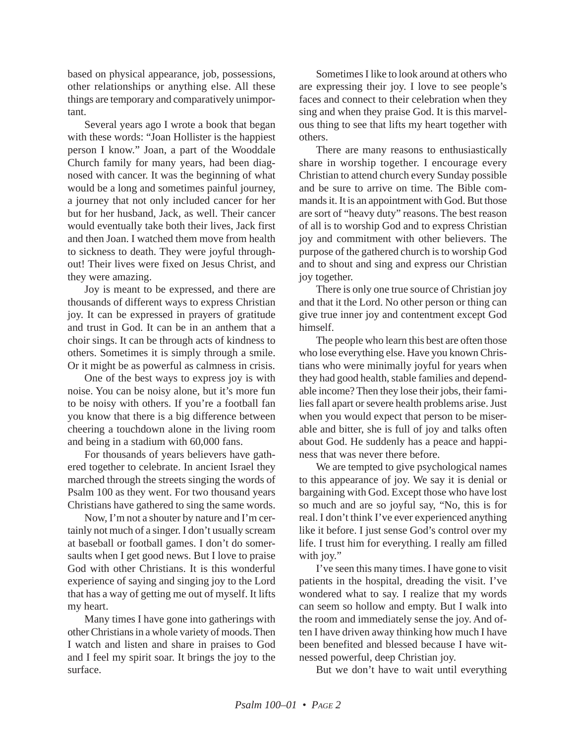based on physical appearance, job, possessions, other relationships or anything else. All these things are temporary and comparatively unimportant.

Several years ago I wrote a book that began with these words: "Joan Hollister is the happiest person I know." Joan, a part of the Wooddale Church family for many years, had been diagnosed with cancer. It was the beginning of what would be a long and sometimes painful journey, a journey that not only included cancer for her but for her husband, Jack, as well. Their cancer would eventually take both their lives, Jack first and then Joan. I watched them move from health to sickness to death. They were joyful throughout! Their lives were fixed on Jesus Christ, and they were amazing.

Joy is meant to be expressed, and there are thousands of different ways to express Christian joy. It can be expressed in prayers of gratitude and trust in God. It can be in an anthem that a choir sings. It can be through acts of kindness to others. Sometimes it is simply through a smile. Or it might be as powerful as calmness in crisis.

One of the best ways to express joy is with noise. You can be noisy alone, but it's more fun to be noisy with others. If you're a football fan you know that there is a big difference between cheering a touchdown alone in the living room and being in a stadium with 60,000 fans.

For thousands of years believers have gathered together to celebrate. In ancient Israel they marched through the streets singing the words of Psalm 100 as they went. For two thousand years Christians have gathered to sing the same words.

Now, I'm not a shouter by nature and I'm certainly not much of a singer. I don't usually scream at baseball or football games. I don't do somersaults when I get good news. But I love to praise God with other Christians. It is this wonderful experience of saying and singing joy to the Lord that has a way of getting me out of myself. It lifts my heart.

Many times I have gone into gatherings with other Christians in a whole variety of moods. Then I watch and listen and share in praises to God and I feel my spirit soar. It brings the joy to the surface.

Sometimes I like to look around at others who are expressing their joy. I love to see people's faces and connect to their celebration when they sing and when they praise God. It is this marvelous thing to see that lifts my heart together with others.

There are many reasons to enthusiastically share in worship together. I encourage every Christian to attend church every Sunday possible and be sure to arrive on time. The Bible commands it. It is an appointment with God. But those are sort of "heavy duty" reasons. The best reason of all is to worship God and to express Christian joy and commitment with other believers. The purpose of the gathered church is to worship God and to shout and sing and express our Christian joy together.

There is only one true source of Christian joy and that it the Lord. No other person or thing can give true inner joy and contentment except God himself.

The people who learn this best are often those who lose everything else. Have you known Christians who were minimally joyful for years when they had good health, stable families and dependable income? Then they lose their jobs, their families fall apart or severe health problems arise. Just when you would expect that person to be miserable and bitter, she is full of joy and talks often about God. He suddenly has a peace and happiness that was never there before.

We are tempted to give psychological names to this appearance of joy. We say it is denial or bargaining with God. Except those who have lost so much and are so joyful say, "No, this is for real. I don't think I've ever experienced anything like it before. I just sense God's control over my life. I trust him for everything. I really am filled with joy."

I've seen this many times. I have gone to visit patients in the hospital, dreading the visit. I've wondered what to say. I realize that my words can seem so hollow and empty. But I walk into the room and immediately sense the joy. And often I have driven away thinking how much I have been benefited and blessed because I have witnessed powerful, deep Christian joy.

But we don't have to wait until everything